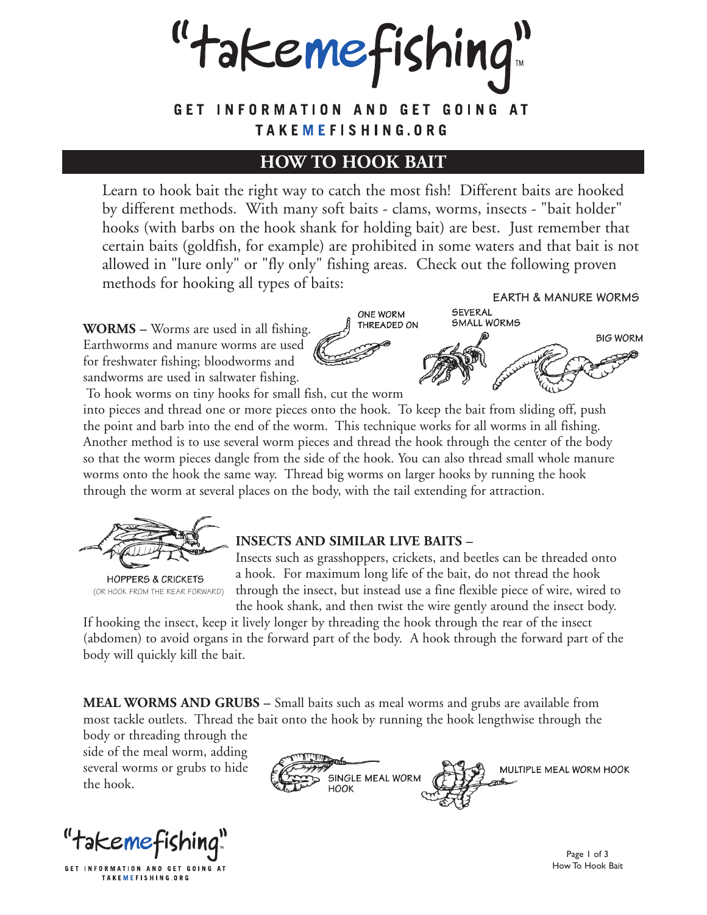"takemefishing"

## GET INFORMATION AND GET GOING AT TAKEMEFISHING.ORG

## **HOW TO HOOK BAIT**

Learn to hook bait the right way to catch the most fish! Different baits are hooked by different methods. With many soft baits - clams, worms, insects - "bait holder" hooks (with barbs on the hook shank for holding bait) are best. Just remember that certain baits (goldfish, for example) are prohibited in some waters and that bait is not allowed in "lure only" or "fly only" fishing areas. Check out the following proven methods for hooking all types of baits:

**WORMS –** Worms are used in all fishing. Earthworms and manure worms are used for freshwater fishing; bloodworms and sandworms are used in saltwater fishing.

**EARTH & MANURE WORMS** SEVERAL **ONE WORM SMALL WORMS** THREADED ON **BIG WORM** 

To hook worms on tiny hooks for small fish, cut the worm

into pieces and thread one or more pieces onto the hook. To keep the bait from sliding off, push the point and barb into the end of the worm. This technique works for all worms in all fishing. Another method is to use several worm pieces and thread the hook through the center of the body so that the worm pieces dangle from the side of the hook. You can also thread small whole manure worms onto the hook the same way. Thread big worms on larger hooks by running the hook through the worm at several places on the body, with the tail extending for attraction.



**HOPPERS & CRICKETS** (OR HOOK FROM THE REAR FORWARD)

## **INSECTS AND SIMILAR LIVE BAITS –**

Insects such as grasshoppers, crickets, and beetles can be threaded onto a hook. For maximum long life of the bait, do not thread the hook through the insect, but instead use a fine flexible piece of wire, wired to the hook shank, and then twist the wire gently around the insect body.

If hooking the insect, keep it lively longer by threading the hook through the rear of the insect (abdomen) to avoid organs in the forward part of the body. A hook through the forward part of the body will quickly kill the bait.

**MEAL WORMS AND GRUBS –** Small baits such as meal worms and grubs are available from most tackle outlets. Thread the bait onto the hook by running the hook lengthwise through the

body or threading through the side of the meal worm, adding several worms or grubs to hide the hook.

"takemefishing!

GET INFORMATION AND GET GOING AT TAKEMEFISHING.ORG



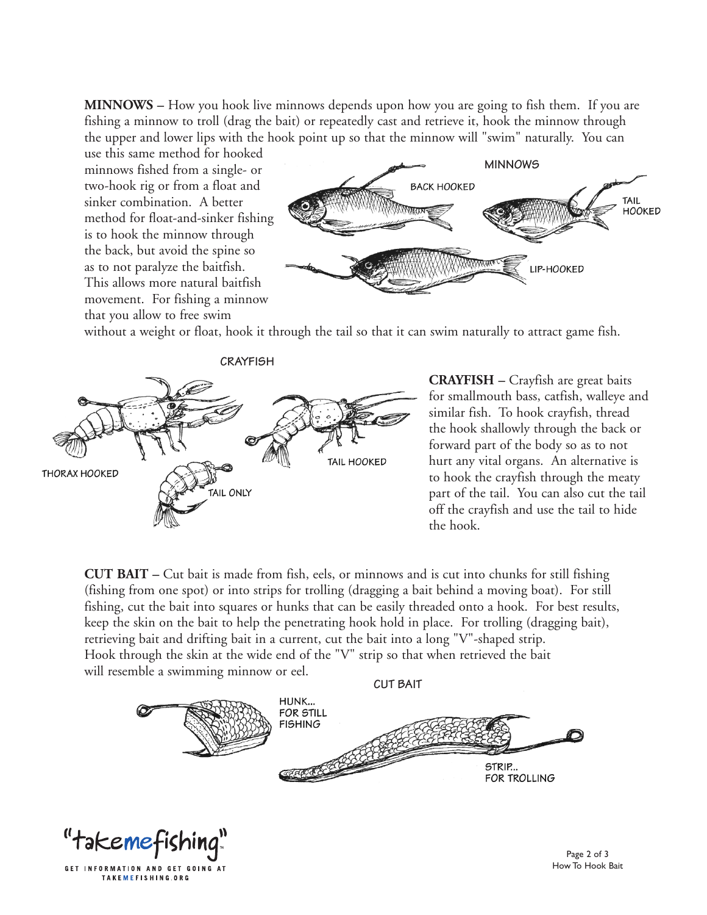**MINNOWS –** How you hook live minnows depends upon how you are going to fish them. If you are fishing a minnow to troll (drag the bait) or repeatedly cast and retrieve it, hook the minnow through the upper and lower lips with the hook point up so that the minnow will "swim" naturally. You can

use this same method for hooked minnows fished from a single- or two-hook rig or from a float and sinker combination. A better method for float-and-sinker fishing is to hook the minnow through the back, but avoid the spine so as to not paralyze the baitfish. This allows more natural baitfish movement. For fishing a minnow that you allow to free swim

GET INFORMATION AND GET GOING AT TAKEMEFISHING.ORG



without a weight or float, hook it through the tail so that it can swim naturally to attract game fish.



**CRAYFISH –** Crayfish are great baits for smallmouth bass, catfish, walleye and similar fish. To hook crayfish, thread the hook shallowly through the back or forward part of the body so as to not hurt any vital organs. An alternative is to hook the crayfish through the meaty part of the tail. You can also cut the tail off the crayfish and use the tail to hide the hook.

**CUT BAIT –** Cut bait is made from fish, eels, or minnows and is cut into chunks for still fishing (fishing from one spot) or into strips for trolling (dragging a bait behind a moving boat). For still fishing, cut the bait into squares or hunks that can be easily threaded onto a hook. For best results, keep the skin on the bait to help the penetrating hook hold in place. For trolling (dragging bait), retrieving bait and drifting bait in a current, cut the bait into a long "V"-shaped strip. Hook through the skin at the wide end of the "V" strip so that when retrieved the bait will resemble a swimming minnow or eel.